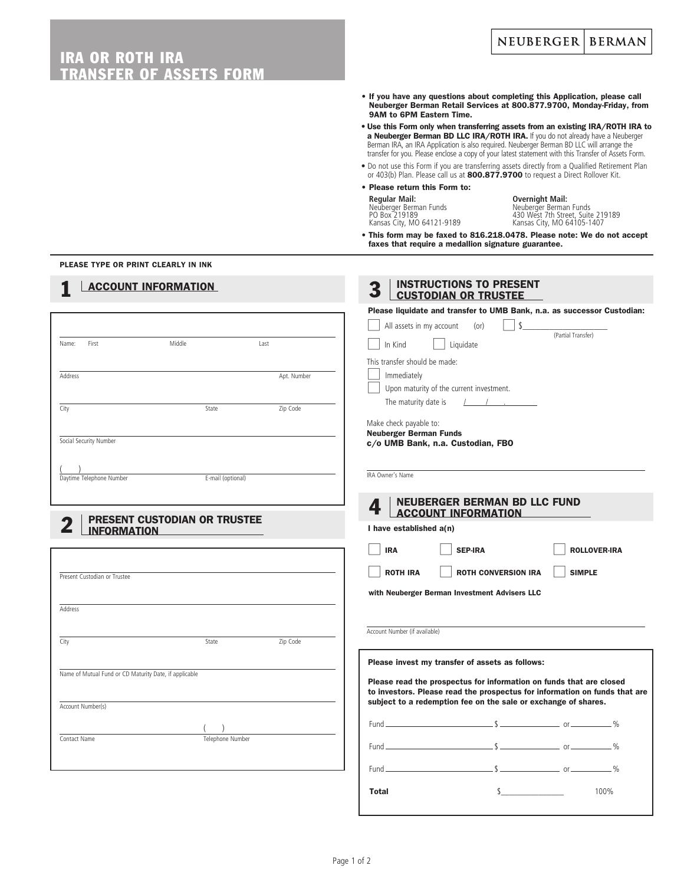### **NEUBERGER BERMAN** IRA OR ROTH IRA **SSEER OF ASSETS FORM** • If you have any questions about completing this Application, please call Neuberger Berman Retail Services at 800.877.9700, Monday-Friday, from 9AM to 6PM Eastern Time. • Use this Form only when transferring assets from an existing IRA/ROTH IRA to a Neuberger Berman BD LLC IRA/ROTH IRA. If you do not already have a Neuberger Berman IRA, an IRA Application is also required. Neuberger Berman BD LLC will arrange the transfer for you. Please enclose a copy of your latest statement with this Transfer of Assets Form. • Do not use this Form if you are transferring assets directly from a Qualified Retirement Plan or 403(b) Plan. Please call us at 800.877.9700 to request a Direct Rollover Kit. • Please return this Form to: **Regular Mail: Overnight Mail:** Neuberger Berman Funds Neuberger Berman Funds PO Box 219189 430 West 7th Street, Suite 219189 Kansas City, MO 64121-9189 Kansas City, MO 64105-1407 • This form may be faxed to 816.218.0478. Please note: We do not accept faxes that require a medallion signature guarantee. PLEASE TYPE OR PRINT CLEARLY IN INK **INSTRUCTIONS TO PRESENT ACCOUNT INFORMATION** CUSTODIAN OR TRUSTEE Please liquidate and transfer to UMB Bank, n.a. as successor Custodian: All assets in my account (or)  $\Box$  \$ (Partial Transfer) In Kind | Liquidate Name: First Last This transfer should be made: **Immediately** Address Apt. Number and Address Apt. Number and Apt. Number Upon maturity of the current investment. The maturity date is / City **State City** State **Zip Code** Make check payable to: Neuberger Berman Funds Social Security Number c/o UMB Bank, n.a. Custodian, FBO (  $\overline{\phantom{a}}$ )<br>
Daytime Telephone Number<br>
E-mail (optional) IRA Owner's Name **4** NEUBERGER BERMAN BD LLC FUND ACCOUNT INFORMATION PRESENT CUSTODIAN OR TRUSTEE I have established a(n) INFORMATION IRA | SEP-IRA | ROLLOVER-IRA  $\vert$  ROTH IRA  $\vert$  ROTH CONVERSION IRA  $\vert$  SIMPLE Present Custodian or Trustee with Neuberger Berman Investment Advisers LLC **Address** Account Number (if available) City **State City** State **Zip Code** Please invest my transfer of assets as follows: Name of Mutual Fund or CD Maturity Date, if applicable Please read the prospectus for information on funds that are closed to investors. Please read the prospectus for information on funds that are subject to a redemption fee on the sale or exchange of shares. Account Number(s) Fund \$ or % ( ) Contact Name Telephone Number Fund \$ or % Fund  $$$ **Total**  $\frac{100\%}{100\%}$